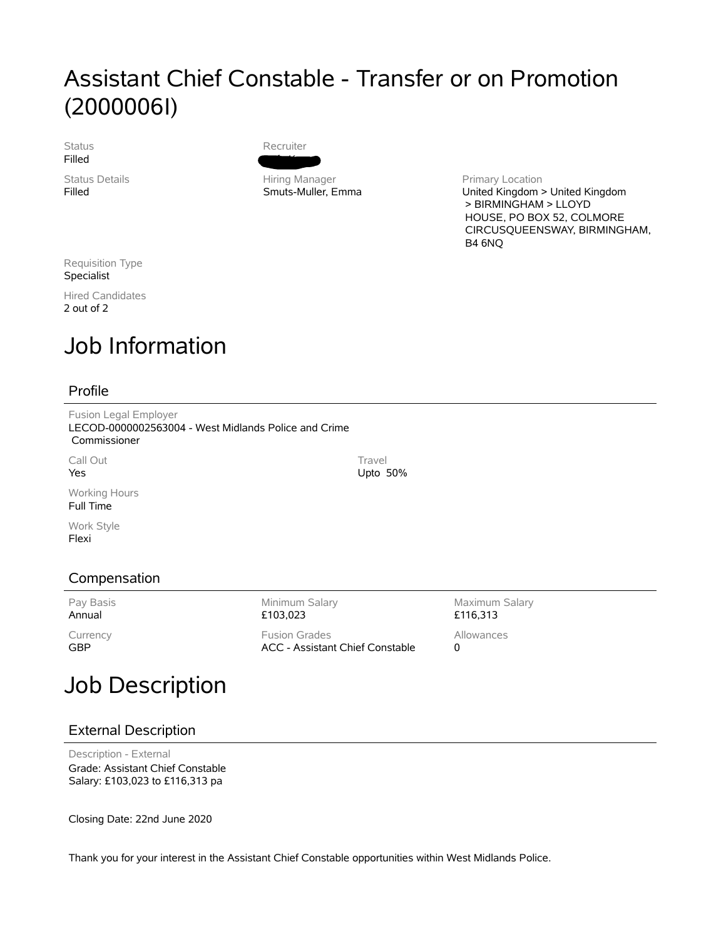## Assistant Chief Constable - Transfer or on Promotion (2000006I)

**Status** Filled

Status Details Filled



Hiring Manager Smuts-Muller, Emma Primary Location United Kingdom > United Kingdom > BIRMINGHAM > LLOYD HOUSE, PO BOX 52, COLMORE CIRCUSQUEENSWAY, BIRMINGHAM, B4 6NQ

Requisition Type Specialist

Hired Candidates 2 out of 2

# Job Information

### Profile

Fusion Legal Employer LECOD-0000002563004 - West Midlands Police and Crime Commissioner

Call Out Yes

Working Hours Full Time

Work Style Flexi

## Compensation

Pay Basis Annual

**Currency** GBP

Minimum Salary £103,023 Fusion Grades ACC - Assistant Chief Constable

Maximum Salary £116,313 Allowances 0

## Job Description

### External Description

Description - External Grade: Assistant Chief Constable Salary: £103,023 to £116,313 pa

Closing Date: 22nd June 2020

Thank you for your interest in the Assistant Chief Constable opportunities within West Midlands Police.

**Travel** Upto 50%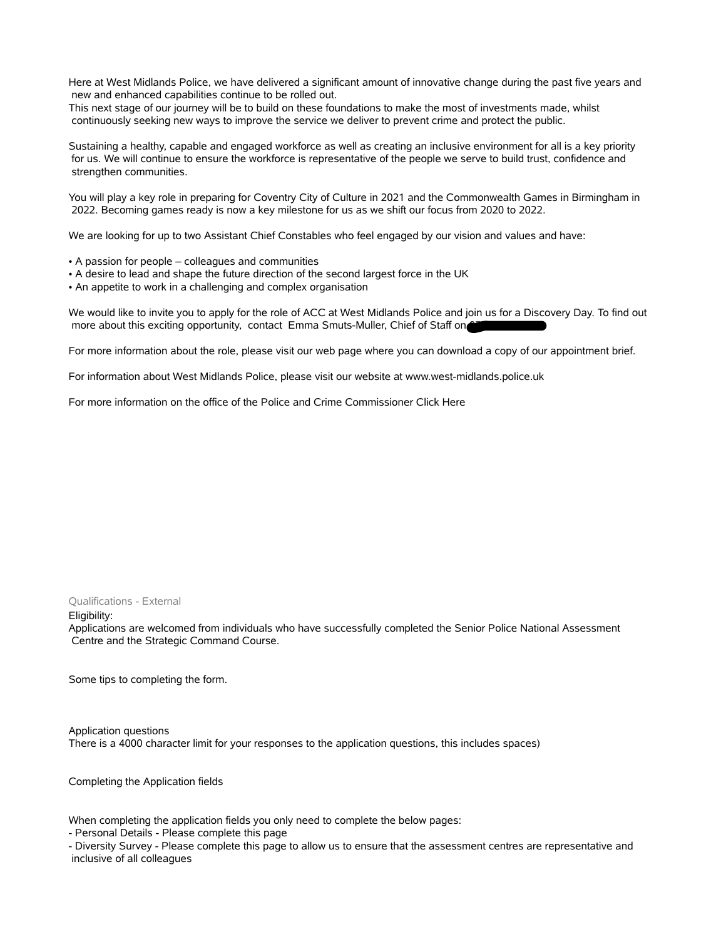Here at West Midlands Police, we have delivered a significant amount of innovative change during the past five years and new and enhanced capabilities continue to be rolled out.

This next stage of our journey will be to build on these foundations to make the most of investments made, whilst continuously seeking new ways to improve the service we deliver to prevent crime and protect the public.

Sustaining a healthy, capable and engaged workforce as well as creating an inclusive environment for all is a key priority for us. We will continue to ensure the workforce is representative of the people we serve to build trust, confidence and strengthen communities.

You will play a key role in preparing for Coventry City of Culture in 2021 and the Commonwealth Games in Birmingham in 2022. Becoming games ready is now a key milestone for us as we shift our focus from 2020 to 2022.

We are looking for up to two Assistant Chief Constables who feel engaged by our vision and values and have:

- A passion for people colleagues and communities
- A desire to lead and shape the future direction of the second largest force in the UK
- An appetite to work in a challenging and complex organisation

We would like to invite you to apply for the role of ACC at West Midlands Police and join us for a Discovery Day. To find out more about this exciting opportunity, contact Emma Smuts-Muller, Chief of Staff on

For more information about the role, please visit our web page where you can download a copy of our appointment brief.

For information about West Midlands Police, please visit our website at www.west-midlands.police.uk

For more information on the office of the Police and Crime Commissioner Click Here

#### Qualifications - External

Eligibility:

Applications are welcomed from individuals who have successfully completed the Senior Police National Assessment Centre and the Strategic Command Course.

Some tips to completing the form.

Application questions There is a 4000 character limit for your responses to the application questions, this includes spaces)

Completing the Application fields

When completing the application fields you only need to complete the below pages:

- Personal Details - Please complete this page

- Diversity Survey - Please complete this page to allow us to ensure that the assessment centres are representative and inclusive of all colleagues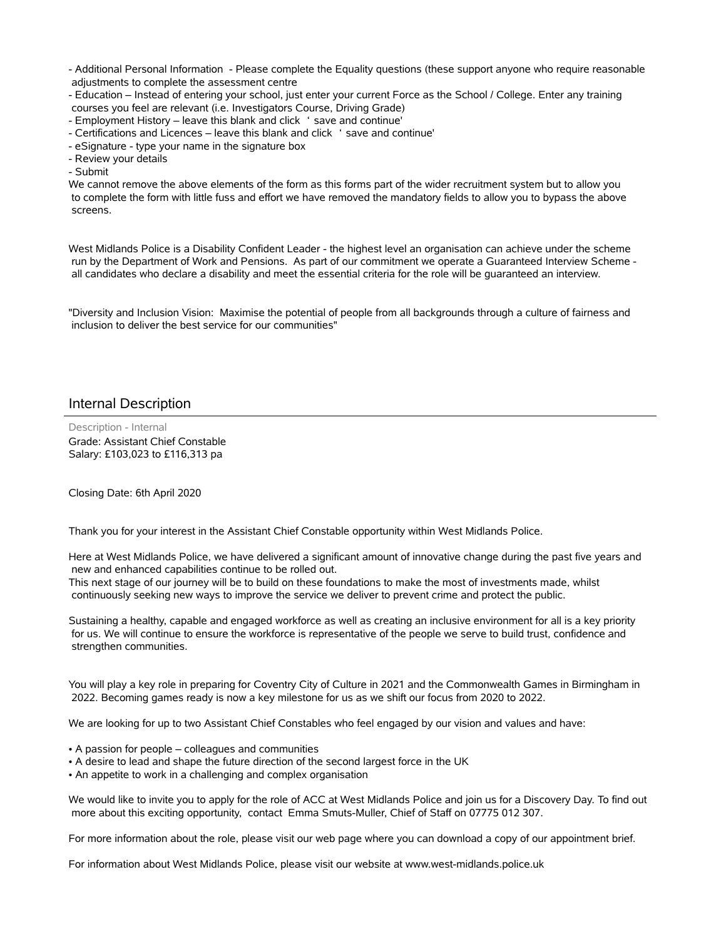- Additional Personal Information - Please complete the Equality questions (these support anyone who require reasonable adjustments to complete the assessment centre

- Education – Instead of entering your school, just enter your current Force as the School / College. Enter any training courses you feel are relevant (i.e. Investigators Course, Driving Grade)

- Employment History – leave this blank and click ' save and continue'

- Certifications and Licences – leave this blank and click 'save and continue'

- eSignature - type your name in the signature box

- Review your details

- Submit

We cannot remove the above elements of the form as this forms part of the wider recruitment system but to allow you to complete the form with little fuss and effort we have removed the mandatory fields to allow you to bypass the above screens.

West Midlands Police is a Disability Confident Leader - the highest level an organisation can achieve under the scheme run by the Department of Work and Pensions. As part of our commitment we operate a Guaranteed Interview Scheme all candidates who declare a disability and meet the essential criteria for the role will be guaranteed an interview.

"Diversity and Inclusion Vision: Maximise the potential of people from all backgrounds through a culture of fairness and inclusion to deliver the best service for our communities"

#### Internal Description

Description - Internal Grade: Assistant Chief Constable Salary: £103,023 to £116,313 pa

Closing Date: 6th April 2020

Thank you for your interest in the Assistant Chief Constable opportunity within West Midlands Police.

Here at West Midlands Police, we have delivered a significant amount of innovative change during the past five years and new and enhanced capabilities continue to be rolled out.

This next stage of our journey will be to build on these foundations to make the most of investments made, whilst continuously seeking new ways to improve the service we deliver to prevent crime and protect the public.

Sustaining a healthy, capable and engaged workforce as well as creating an inclusive environment for all is a key priority for us. We will continue to ensure the workforce is representative of the people we serve to build trust, confidence and strengthen communities.

You will play a key role in preparing for Coventry City of Culture in 2021 and the Commonwealth Games in Birmingham in 2022. Becoming games ready is now a key milestone for us as we shift our focus from 2020 to 2022.

We are looking for up to two Assistant Chief Constables who feel engaged by our vision and values and have:

- A passion for people colleagues and communities
- A desire to lead and shape the future direction of the second largest force in the UK
- An appetite to work in a challenging and complex organisation

We would like to invite you to apply for the role of ACC at West Midlands Police and join us for a Discovery Day. To find out more about this exciting opportunity, contact Emma Smuts-Muller, Chief of Staff on 07775 012 307.

For more information about the role, please visit our web page where you can download a copy of our appointment brief.

For information about West Midlands Police, please visit our website at www.west-midlands.police.uk